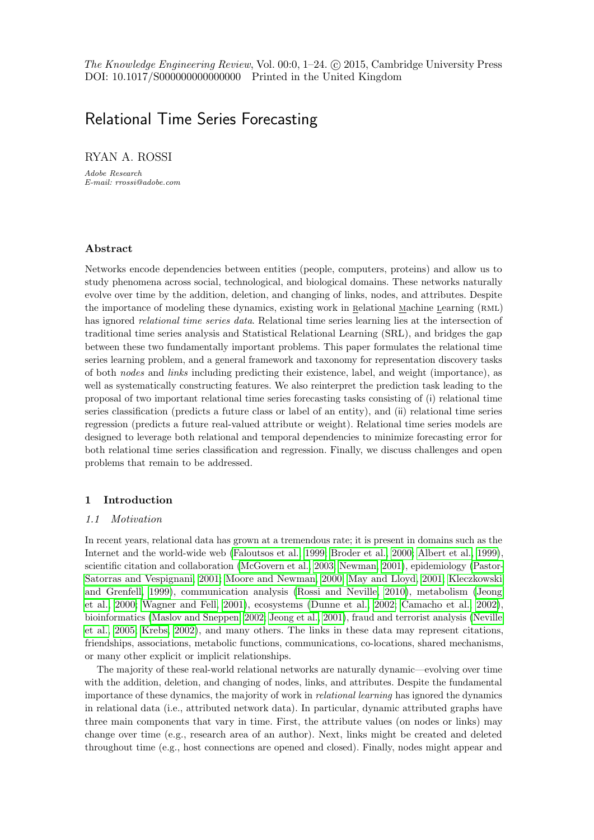# Relational Time Series Forecasting

RYAN A. ROSSI

Adobe Research E-mail: rrossi@adobe.com

### Abstract

Networks encode dependencies between entities (people, computers, proteins) and allow us to study phenomena across social, technological, and biological domains. These networks naturally evolve over time by the addition, deletion, and changing of links, nodes, and attributes. Despite the importance of modeling these dynamics, existing work in Relational Machine Learning (RML) has ignored *relational time series data*. Relational time series learning lies at the intersection of traditional time series analysis and Statistical Relational Learning (SRL), and bridges the gap between these two fundamentally important problems. This paper formulates the relational time series learning problem, and a general framework and taxonomy for representation discovery tasks of both nodes and links including predicting their existence, label, and weight (importance), as well as systematically constructing features. We also reinterpret the prediction task leading to the proposal of two important relational time series forecasting tasks consisting of (i) relational time series classification (predicts a future class or label of an entity), and (ii) relational time series regression (predicts a future real-valued attribute or weight). Relational time series models are designed to leverage both relational and temporal dependencies to minimize forecasting error for both relational time series classification and regression. Finally, we discuss challenges and open problems that remain to be addressed.

### 1 Introduction

### 1.1 Motivation

In recent years, relational data has grown at a tremendous rate; it is present in domains such as the Internet and the world-wide web [\(Faloutsos et al., 1999;](#page-11-0) [Broder et al., 2000;](#page-11-1) [Albert et al., 1999\)](#page-10-0), scientific citation and collaboration [\(McGovern et al., 2003;](#page-13-0) [Newman, 2001\)](#page-13-1), epidemiology [\(Pastor-](#page-13-2)[Satorras and Vespignani, 2001;](#page-13-2) [Moore and Newman, 2000;](#page-13-3) [May and Lloyd, 2001;](#page-13-4) [Kleczkowski](#page-12-0) [and Grenfell, 1999\)](#page-12-0), communication analysis [\(Rossi and Neville, 2010\)](#page-13-5), metabolism [\(Jeong](#page-12-1) [et al., 2000;](#page-12-1) [Wagner and Fell, 2001\)](#page-14-0), ecosystems [\(Dunne et al., 2002;](#page-11-2) [Camacho et al., 2002\)](#page-11-3), bioinformatics [\(Maslov and Sneppen, 2002;](#page-13-6) [Jeong et al., 2001\)](#page-12-2), fraud and terrorist analysis [\(Neville](#page-13-7) [et al., 2005;](#page-13-7) [Krebs, 2002\)](#page-12-3), and many others. The links in these data may represent citations, friendships, associations, metabolic functions, communications, co-locations, shared mechanisms, or many other explicit or implicit relationships.

The majority of these real-world relational networks are naturally dynamic—evolving over time with the addition, deletion, and changing of nodes, links, and attributes. Despite the fundamental importance of these dynamics, the majority of work in relational learning has ignored the dynamics in relational data (i.e., attributed network data). In particular, dynamic attributed graphs have three main components that vary in time. First, the attribute values (on nodes or links) may change over time (e.g., research area of an author). Next, links might be created and deleted throughout time (e.g., host connections are opened and closed). Finally, nodes might appear and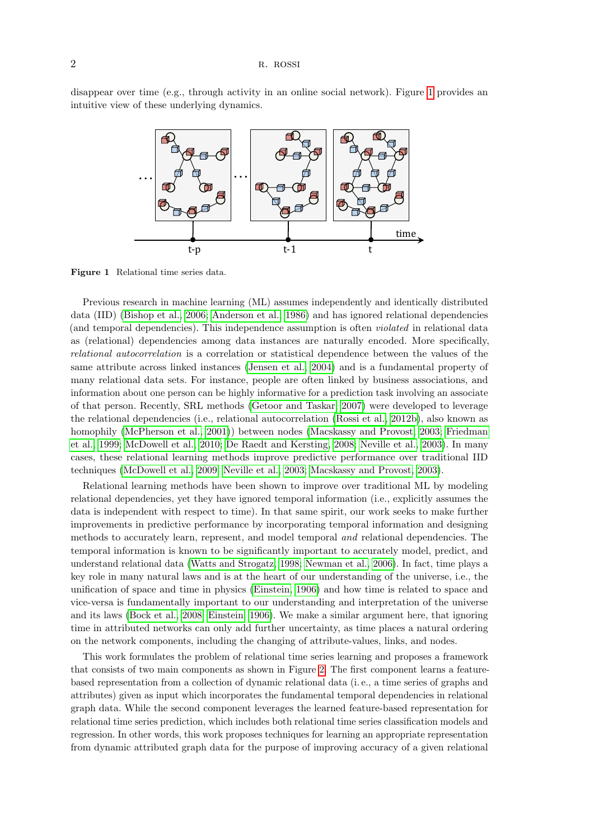disappear over time (e.g., through activity in an online social network). Figure [1](#page-1-0) provides an intuitive view of these underlying dynamics.



<span id="page-1-0"></span>Figure 1 Relational time series data.

Previous research in machine learning (ML) assumes independently and identically distributed data (IID) [\(Bishop et al., 2006;](#page-10-1) [Anderson et al., 1986\)](#page-10-2) and has ignored relational dependencies (and temporal dependencies). This independence assumption is often violated in relational data as (relational) dependencies among data instances are naturally encoded. More specifically, relational autocorrelation is a correlation or statistical dependence between the values of the same attribute across linked instances [\(Jensen et al., 2004\)](#page-12-4) and is a fundamental property of many relational data sets. For instance, people are often linked by business associations, and information about one person can be highly informative for a prediction task involving an associate of that person. Recently, SRL methods [\(Getoor and Taskar, 2007\)](#page-11-4) were developed to leverage the relational dependencies (i.e., relational autocorrelation [\(Rossi et al., 2012b\)](#page-14-1), also known as homophily [\(McPherson et al., 2001\)](#page-13-8)) between nodes [\(Macskassy and Provost, 2003;](#page-12-5) [Friedman](#page-11-5) [et al., 1999;](#page-11-5) [McDowell et al., 2010;](#page-13-9) [De Raedt and Kersting, 2008;](#page-11-6) [Neville et al., 2003\)](#page-13-10). In many cases, these relational learning methods improve predictive performance over traditional IID techniques [\(McDowell et al., 2009;](#page-13-11) [Neville et al., 2003;](#page-13-10) [Macskassy and Provost, 2003\)](#page-12-5).

Relational learning methods have been shown to improve over traditional ML by modeling relational dependencies, yet they have ignored temporal information (i.e., explicitly assumes the data is independent with respect to time). In that same spirit, our work seeks to make further improvements in predictive performance by incorporating temporal information and designing methods to accurately learn, represent, and model temporal and relational dependencies. The temporal information is known to be significantly important to accurately model, predict, and understand relational data [\(Watts and Strogatz, 1998;](#page-14-2) [Newman et al., 2006\)](#page-13-12). In fact, time plays a key role in many natural laws and is at the heart of our understanding of the universe, i.e., the unification of space and time in physics [\(Einstein, 1906\)](#page-11-7) and how time is related to space and vice-versa is fundamentally important to our understanding and interpretation of the universe and its laws [\(Bock et al., 2008;](#page-11-8) [Einstein, 1906\)](#page-11-7). We make a similar argument here, that ignoring time in attributed networks can only add further uncertainty, as time places a natural ordering on the network components, including the changing of attribute-values, links, and nodes.

This work formulates the problem of relational time series learning and proposes a framework that consists of two main components as shown in Figure [2.](#page-2-0) The first component learns a featurebased representation from a collection of dynamic relational data (i. e., a time series of graphs and attributes) given as input which incorporates the fundamental temporal dependencies in relational graph data. While the second component leverages the learned feature-based representation for relational time series prediction, which includes both relational time series classification models and regression. In other words, this work proposes techniques for learning an appropriate representation from dynamic attributed graph data for the purpose of improving accuracy of a given relational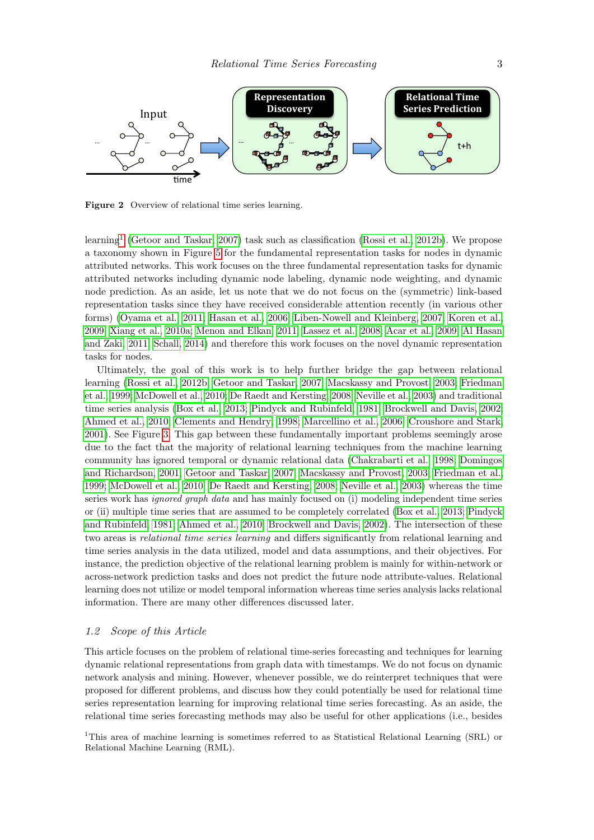

<span id="page-2-0"></span>Figure 2 Overview of relational time series learning.

learning<sup>[1](#page-2-1)</sup> [\(Getoor and Taskar, 2007\)](#page-11-4) task such as classification [\(Rossi et al., 2012b\)](#page-14-1). We propose a taxonomy shown in Figure [5](#page-5-0) for the fundamental representation tasks for nodes in dynamic attributed networks. This work focuses on the three fundamental representation tasks for dynamic attributed networks including dynamic node labeling, dynamic node weighting, and dynamic node prediction. As an aside, let us note that we do not focus on the (symmetric) link-based representation tasks since they have received considerable attention recently (in various other forms) [\(Oyama et al., 2011;](#page-13-13) [Hasan et al., 2006;](#page-11-9) [Liben-Nowell and Kleinberg, 2007;](#page-12-6) [Koren et al.,](#page-12-7) [2009;](#page-12-7) [Xiang et al., 2010a;](#page-14-3) [Menon and Elkan, 2011;](#page-13-14) [Lassez et al., 2008;](#page-12-8) [Acar et al., 2009;](#page-10-3) [Al Hasan](#page-10-4) [and Zaki, 2011;](#page-10-4) [Schall, 2014\)](#page-14-4) and therefore this work focuses on the novel dynamic representation tasks for nodes.

Ultimately, the goal of this work is to help further bridge the gap between relational learning [\(Rossi et al., 2012b;](#page-14-1) [Getoor and Taskar, 2007;](#page-11-4) [Macskassy and Provost, 2003;](#page-12-5) [Friedman](#page-11-5) [et al., 1999;](#page-11-5) [McDowell et al., 2010;](#page-13-9) [De Raedt and Kersting, 2008;](#page-11-6) [Neville et al., 2003\)](#page-13-10) and traditional time series analysis [\(Box et al., 2013;](#page-11-10) [Pindyck and Rubinfeld, 1981;](#page-13-15) [Brockwell and Davis, 2002;](#page-11-11) [Ahmed et al., 2010;](#page-10-5) [Clements and Hendry, 1998;](#page-11-12) [Marcellino et al., 2006;](#page-12-9) [Croushore and Stark,](#page-11-13) [2001\)](#page-11-13). See Figure [3.](#page-3-0) This gap between these fundamentally important problems seemingly arose due to the fact that the majority of relational learning techniques from the machine learning community has ignored temporal or dynamic relational data [\(Chakrabarti et al., 1998;](#page-11-14) [Domingos](#page-11-15) [and Richardson, 2001;](#page-11-15) [Getoor and Taskar, 2007;](#page-11-4) [Macskassy and Provost, 2003;](#page-12-5) [Friedman et al.,](#page-11-5) [1999;](#page-11-5) [McDowell et al., 2010;](#page-13-9) [De Raedt and Kersting, 2008;](#page-11-6) [Neville et al., 2003\)](#page-13-10) whereas the time series work has *ignored graph data* and has mainly focused on (i) modeling independent time series or (ii) multiple time series that are assumed to be completely correlated [\(Box et al., 2013;](#page-11-10) [Pindyck](#page-13-15) [and Rubinfeld, 1981;](#page-13-15) [Ahmed et al., 2010;](#page-10-5) [Brockwell and Davis, 2002\)](#page-11-11). The intersection of these two areas is *relational time series learning* and differs significantly from relational learning and time series analysis in the data utilized, model and data assumptions, and their objectives. For instance, the prediction objective of the relational learning problem is mainly for within-network or across-network prediction tasks and does not predict the future node attribute-values. Relational learning does not utilize or model temporal information whereas time series analysis lacks relational information. There are many other differences discussed later.

### 1.2 Scope of this Article

This article focuses on the problem of relational time-series forecasting and techniques for learning dynamic relational representations from graph data with timestamps. We do not focus on dynamic network analysis and mining. However, whenever possible, we do reinterpret techniques that were proposed for different problems, and discuss how they could potentially be used for relational time series representation learning for improving relational time series forecasting. As an aside, the relational time series forecasting methods may also be useful for other applications (i.e., besides

<span id="page-2-1"></span><sup>1</sup>This area of machine learning is sometimes referred to as Statistical Relational Learning (SRL) or Relational Machine Learning (RML).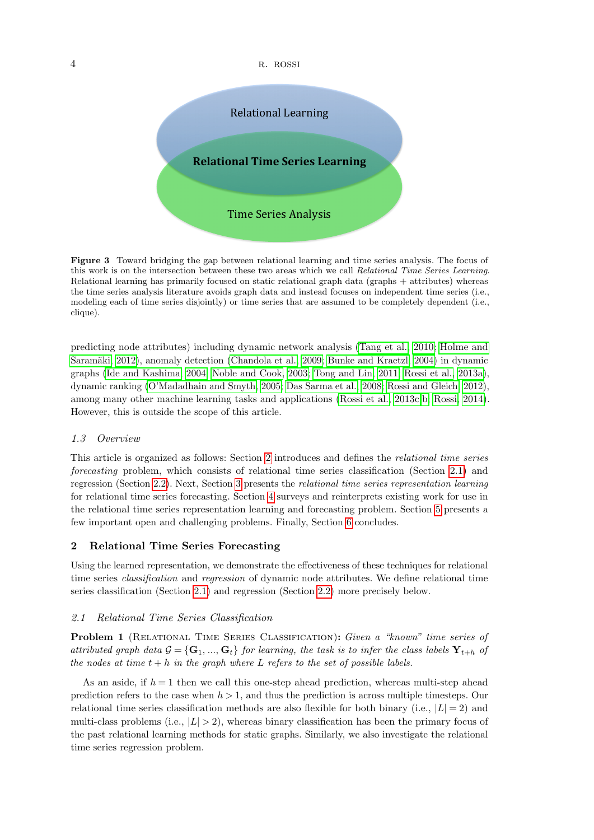

<span id="page-3-0"></span>Figure 3 Toward bridging the gap between relational learning and time series analysis. The focus of this work is on the intersection between these two areas which we call Relational Time Series Learning. Relational learning has primarily focused on static relational graph data (graphs + attributes) whereas the time series analysis literature avoids graph data and instead focuses on independent time series (i.e., modeling each of time series disjointly) or time series that are assumed to be completely dependent (i.e., clique).

predicting node attributes) including dynamic network analysis [\(Tang et al., 2010;](#page-14-5) [Holme and](#page-12-10) Saramäki, 2012), anomaly detection [\(Chandola et al., 2009;](#page-11-16) [Bunke and Kraetzl, 2004\)](#page-11-17) in dynamic graphs [\(Ide and Kashima, 2004;](#page-12-11) [Noble and Cook, 2003;](#page-13-16) [Tong and Lin, 2011;](#page-14-6) [Rossi et al., 2013a\)](#page-14-7), dynamic ranking [\(O'Madadhain and Smyth, 2005;](#page-13-17) [Das Sarma et al., 2008;](#page-11-18) [Rossi and Gleich, 2012\)](#page-13-18), among many other machine learning tasks and applications [\(Rossi et al., 2013c,](#page-14-8)[b;](#page-14-9) [Rossi, 2014\)](#page-13-19). However, this is outside the scope of this article.

#### 1.3 Overview

This article is organized as follows: Section [2](#page-3-1) introduces and defines the relational time series forecasting problem, which consists of relational time series classification (Section [2.1\)](#page-3-2) and regression (Section [2.2\)](#page-4-0). Next, Section [3](#page-4-1) presents the relational time series representation learning for relational time series forecasting. Section [4](#page-7-0) surveys and reinterprets existing work for use in the relational time series representation learning and forecasting problem. Section [5](#page-9-0) presents a few important open and challenging problems. Finally, Section [6](#page-10-6) concludes.

# <span id="page-3-1"></span>2 Relational Time Series Forecasting

Using the learned representation, we demonstrate the effectiveness of these techniques for relational time series classification and regression of dynamic node attributes. We define relational time series classification (Section [2.1\)](#page-3-2) and regression (Section [2.2\)](#page-4-0) more precisely below.

#### <span id="page-3-2"></span>2.1 Relational Time Series Classification

Problem 1 (RELATIONAL TIME SERIES CLASSIFICATION): Given a "known" time series of attributed graph data  $\mathcal{G} = {\mathbf{G_1}, ..., \mathbf{G_t}}$  for learning, the task is to infer the class labels  $\mathbf{Y}_{t+h}$  of the nodes at time  $t + h$  in the graph where L refers to the set of possible labels.

As an aside, if  $h = 1$  then we call this one-step ahead prediction, whereas multi-step ahead prediction refers to the case when  $h > 1$ , and thus the prediction is across multiple timesteps. Our relational time series classification methods are also flexible for both binary (i.e.,  $|L| = 2$ ) and multi-class problems (i.e.,  $|L| > 2$ ), whereas binary classification has been the primary focus of the past relational learning methods for static graphs. Similarly, we also investigate the relational time series regression problem.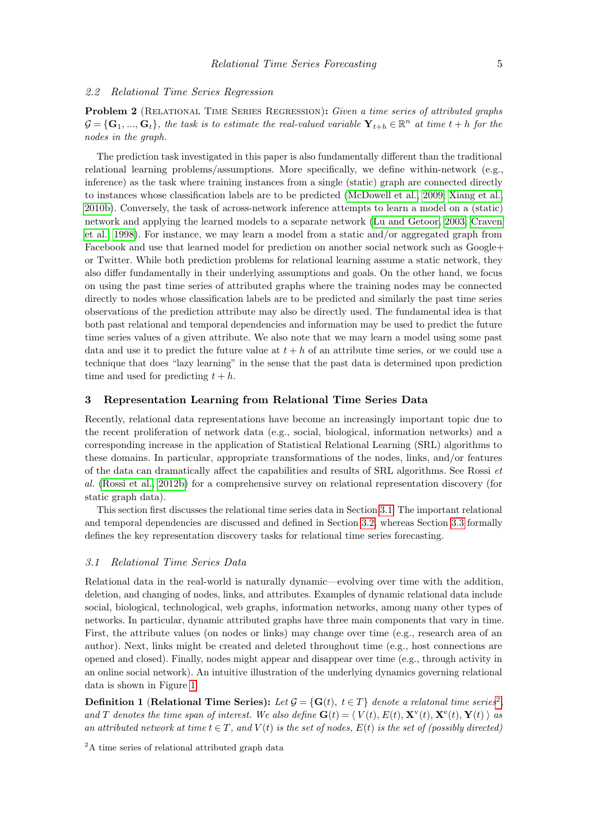### <span id="page-4-0"></span>2.2 Relational Time Series Regression

**Problem 2** (RELATIONAL TIME SERIES REGRESSION): Given a time series of attributed graphs  $\mathcal{G} = \{ \mathbf{G}_1, ..., \mathbf{G}_t \}$ , the task is to estimate the real-valued variable  $\mathbf{Y}_{t+h} \in \mathbb{R}^n$  at time  $t+h$  for the nodes in the graph.

The prediction task investigated in this paper is also fundamentally different than the traditional relational learning problems/assumptions. More specifically, we define within-network (e.g., inference) as the task where training instances from a single (static) graph are connected directly to instances whose classification labels are to be predicted [\(McDowell et al., 2009;](#page-13-11) [Xiang et al.,](#page-14-10) [2010b\)](#page-14-10). Conversely, the task of across-network inference attempts to learn a model on a (static) network and applying the learned models to a separate network [\(Lu and Getoor, 2003;](#page-12-12) [Craven](#page-11-19) [et al., 1998\)](#page-11-19). For instance, we may learn a model from a static and/or aggregated graph from Facebook and use that learned model for prediction on another social network such as Google+ or Twitter. While both prediction problems for relational learning assume a static network, they also differ fundamentally in their underlying assumptions and goals. On the other hand, we focus on using the past time series of attributed graphs where the training nodes may be connected directly to nodes whose classification labels are to be predicted and similarly the past time series observations of the prediction attribute may also be directly used. The fundamental idea is that both past relational and temporal dependencies and information may be used to predict the future time series values of a given attribute. We also note that we may learn a model using some past data and use it to predict the future value at  $t + h$  of an attribute time series, or we could use a technique that does "lazy learning" in the sense that the past data is determined upon prediction time and used for predicting  $t + h$ .

### <span id="page-4-1"></span>3 Representation Learning from Relational Time Series Data

Recently, relational data representations have become an increasingly important topic due to the recent proliferation of network data (e.g., social, biological, information networks) and a corresponding increase in the application of Statistical Relational Learning (SRL) algorithms to these domains. In particular, appropriate transformations of the nodes, links, and/or features of the data can dramatically affect the capabilities and results of SRL algorithms. See Rossi et al. [\(Rossi et al., 2012b\)](#page-14-1) for a comprehensive survey on relational representation discovery (for static graph data).

This section first discusses the relational time series data in Section [3.1.](#page-4-2) The important relational and temporal dependencies are discussed and defined in Section [3.2,](#page-5-1) whereas Section [3.3](#page-6-0) formally defines the key representation discovery tasks for relational time series forecasting.

### <span id="page-4-2"></span>3.1 Relational Time Series Data

Relational data in the real-world is naturally dynamic—evolving over time with the addition, deletion, and changing of nodes, links, and attributes. Examples of dynamic relational data include social, biological, technological, web graphs, information networks, among many other types of networks. In particular, dynamic attributed graphs have three main components that vary in time. First, the attribute values (on nodes or links) may change over time (e.g., research area of an author). Next, links might be created and deleted throughout time (e.g., host connections are opened and closed). Finally, nodes might appear and disappear over time (e.g., through activity in an online social network). An intuitive illustration of the underlying dynamics governing relational data is shown in Figure [1.](#page-1-0)

**Definition 1** (Relational Time Series): Let  $\mathcal{G} = \{G(t), t \in T\}$  denote a relatonal time series<sup>[2](#page-4-3)</sup>, and T denotes the time span of interest. We also define  $\mathbf{G}(t) = \langle V(t), E(t), \mathbf{X}^{\vee}(t), \mathbf{X}^{\mathbf{e}}(t), \mathbf{Y}(t) \rangle$  as an attributed network at time  $t \in T$ , and  $V(t)$  is the set of nodes,  $E(t)$  is the set of (possibly directed)

<span id="page-4-3"></span><sup>2</sup>A time series of relational attributed graph data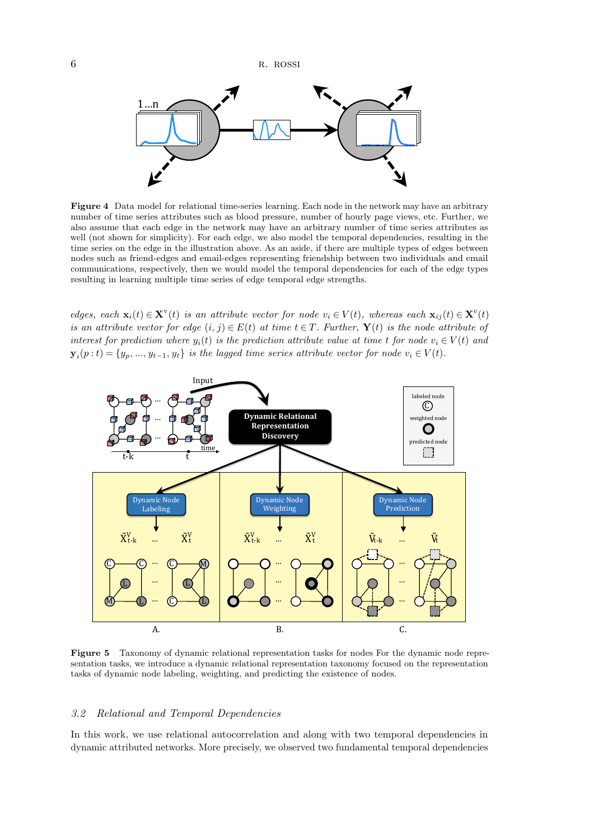

well (not shown for simplicity). For each edge, we also model the temporal dependencies, resulting in the **61 Science 62 Gackt 63 Teleprompt 64 Technology 65 Society 66 Outlineofs 67 ER(TVserie 68 Philippine 69 NewYorkCit 70 Australia** also assume that each edge in the network may have an arbitrary number of time series attributes as **51 Greygoo 52 pageprotec 53 Rihanna 54 Listofbasi 55 Sciencepor 56 KaraDioGua 57 TheBeatles 58 Technology 59 London 60 Football(s 61 Science 62 Gackt 63 Teleprompt 64 Technology 65 Society 66 Outlineofs 67 ER(TVserie 68 Philippine 69 NewYorkCit 70 Australia** nodes such as friend-edges and email-edges representing friendship between two individuals and email resulting in learning multiple time series of edge temporal edge strengths. Figure 4 Data model for relational time-series learning. Each node in the network may have an arbitrary number of time series attributes such as blood pressure, number of hourly page views, etc. Further, we time series on the edge in the illustration above. As an aside, if there are multiple types of edges between communications, respectively, then we would model the temporal dependencies for each of the edge types

is an attribute vector for edge  $(i, j) \in E(t)$  at time  $t \in T$ . Further,  $\mathbf{Y}(t)$  is the node attribute of **71 Madonna(en 72 Richtermag 73 Tobaccoadv 74 Geography 75 California 76 Constantin 77 RobKnox 78 LosAngeles 79 Canada 80 MurderofEv** edges, each  $\mathbf{x}_i(t) \in \mathbf{X}^{\vee}(t)$  is an attribute vector for node  $v_i \in V(t)$ , whereas each  $\mathbf{x}_{ij}(t) \in \mathbf{X}^{\mathbf{e}}(t)$ interest for prediction where  $y_i(t)$  is the prediction attribute value at time t for node  $v_i \in V(t)$  and  $\mathbf{y}_i(p:t) = \{y_p, ..., y_{t-1}, y_t\}$  is the lagged time series attribute vector for node  $v_i \in V(t)$ .



<span id="page-5-2"></span><span id="page-5-0"></span>Figure 5 Taxonomy of dynamic relational representation tasks for nodes For the dynamic node representation tasks, we introduce a dynamic relational representation taxonomy focused on the representation tasks of dynamic node labeling, weighting, and predicting the existence of nodes.

### <span id="page-5-1"></span>3.2 Relational and Temporal Dependencies

In this work, we use relational autocorrelation and along with two temporal dependencies in dynamic attributed networks. More precisely, we observed two fundamental temporal dependencies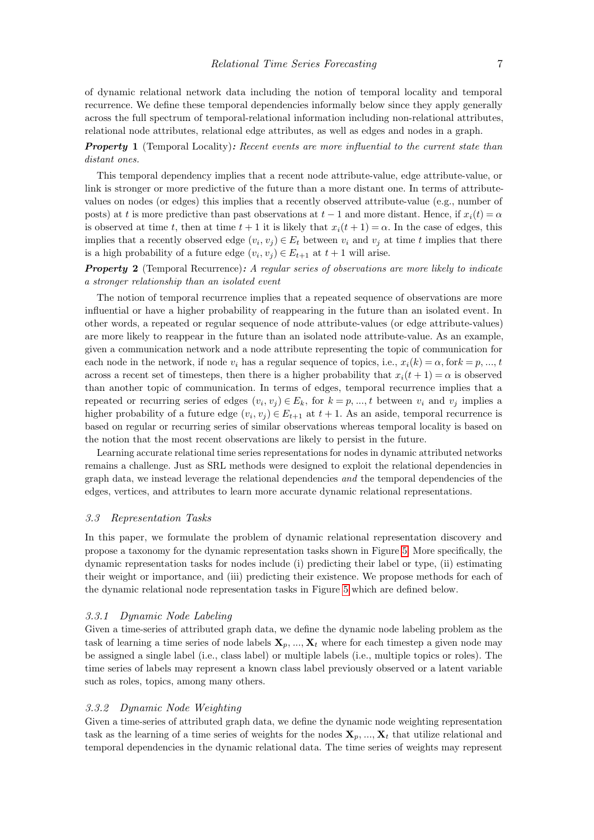of dynamic relational network data including the notion of temporal locality and temporal recurrence. We define these temporal dependencies informally below since they apply generally across the full spectrum of temporal-relational information including non-relational attributes, relational node attributes, relational edge attributes, as well as edges and nodes in a graph.

**Property 1** (Temporal Locality): Recent events are more influential to the current state than distant ones.

This temporal dependency implies that a recent node attribute-value, edge attribute-value, or link is stronger or more predictive of the future than a more distant one. In terms of attributevalues on nodes (or edges) this implies that a recently observed attribute-value (e.g., number of posts) at t is more predictive than past observations at  $t-1$  and more distant. Hence, if  $x_i(t) = \alpha$ is observed at time t, then at time  $t + 1$  it is likely that  $x_i(t + 1) = \alpha$ . In the case of edges, this implies that a recently observed edge  $(v_i, v_j) \in E_t$  between  $v_i$  and  $v_j$  at time t implies that there is a high probability of a future edge  $(v_i, v_j) \in E_{t+1}$  at  $t+1$  will arise.

**Property 2** (Temporal Recurrence): A regular series of observations are more likely to indicate a stronger relationship than an isolated event

The notion of temporal recurrence implies that a repeated sequence of observations are more influential or have a higher probability of reappearing in the future than an isolated event. In other words, a repeated or regular sequence of node attribute-values (or edge attribute-values) are more likely to reappear in the future than an isolated node attribute-value. As an example, given a communication network and a node attribute representing the topic of communication for each node in the network, if node  $v_i$  has a regular sequence of topics, i.e.,  $x_i(k) = \alpha$ , for  $k = p, ..., t$ across a recent set of timesteps, then there is a higher probability that  $x_i(t + 1) = \alpha$  is observed than another topic of communication. In terms of edges, temporal recurrence implies that a repeated or recurring series of edges  $(v_i, v_j) \in E_k$ , for  $k = p, ..., t$  between  $v_i$  and  $v_j$  implies a higher probability of a future edge  $(v_i, v_j) \in E_{t+1}$  at  $t+1$ . As an aside, temporal recurrence is based on regular or recurring series of similar observations whereas temporal locality is based on the notion that the most recent observations are likely to persist in the future.

Learning accurate relational time series representations for nodes in dynamic attributed networks remains a challenge. Just as SRL methods were designed to exploit the relational dependencies in graph data, we instead leverage the relational dependencies and the temporal dependencies of the edges, vertices, and attributes to learn more accurate dynamic relational representations.

#### <span id="page-6-0"></span>3.3 Representation Tasks

In this paper, we formulate the problem of dynamic relational representation discovery and propose a taxonomy for the dynamic representation tasks shown in Figure [5.](#page-5-0) More specifically, the dynamic representation tasks for nodes include (i) predicting their label or type, (ii) estimating their weight or importance, and (iii) predicting their existence. We propose methods for each of the dynamic relational node representation tasks in Figure [5](#page-5-0) which are defined below.

#### 3.3.1 Dynamic Node Labeling

Given a time-series of attributed graph data, we define the dynamic node labeling problem as the task of learning a time series of node labels  $X_p, ..., X_t$  where for each timestep a given node may be assigned a single label (i.e., class label) or multiple labels (i.e., multiple topics or roles). The time series of labels may represent a known class label previously observed or a latent variable such as roles, topics, among many others.

#### 3.3.2 Dynamic Node Weighting

Given a time-series of attributed graph data, we define the dynamic node weighting representation task as the learning of a time series of weights for the nodes  $\mathbf{X}_p, ..., \mathbf{X}_t$  that utilize relational and temporal dependencies in the dynamic relational data. The time series of weights may represent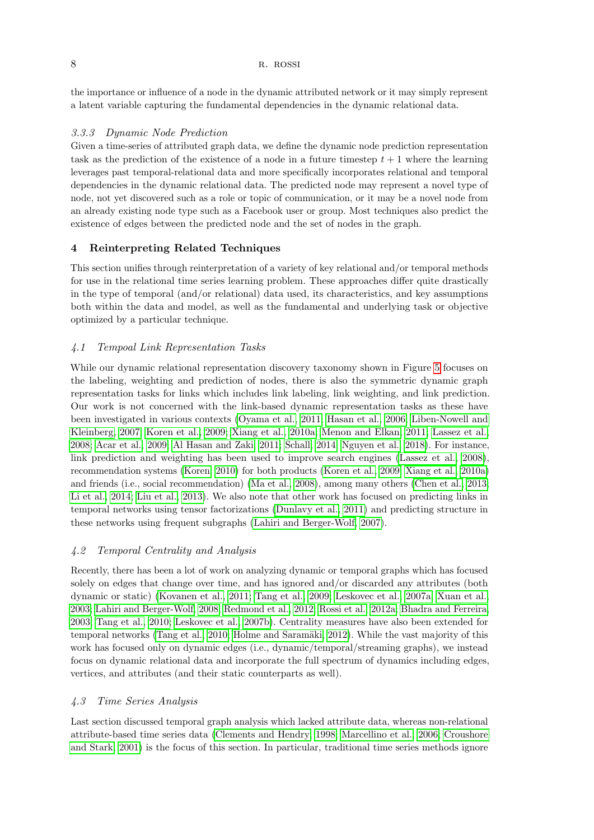the importance or influence of a node in the dynamic attributed network or it may simply represent a latent variable capturing the fundamental dependencies in the dynamic relational data.

#### 3.3.3 Dynamic Node Prediction

Given a time-series of attributed graph data, we define the dynamic node prediction representation task as the prediction of the existence of a node in a future timestep  $t + 1$  where the learning leverages past temporal-relational data and more specifically incorporates relational and temporal dependencies in the dynamic relational data. The predicted node may represent a novel type of node, not yet discovered such as a role or topic of communication, or it may be a novel node from an already existing node type such as a Facebook user or group. Most techniques also predict the existence of edges between the predicted node and the set of nodes in the graph.

### <span id="page-7-0"></span>4 Reinterpreting Related Techniques

This section unifies through reinterpretation of a variety of key relational and/or temporal methods for use in the relational time series learning problem. These approaches differ quite drastically in the type of temporal (and/or relational) data used, its characteristics, and key assumptions both within the data and model, as well as the fundamental and underlying task or objective optimized by a particular technique.

# 4.1 Tempoal Link Representation Tasks

While our dynamic relational representation discovery taxonomy shown in Figure [5](#page-5-0) focuses on the labeling, weighting and prediction of nodes, there is also the symmetric dynamic graph representation tasks for links which includes link labeling, link weighting, and link prediction. Our work is not concerned with the link-based dynamic representation tasks as these have been investigated in various contexts [\(Oyama et al., 2011;](#page-13-13) [Hasan et al., 2006;](#page-11-9) [Liben-Nowell and](#page-12-6) [Kleinberg, 2007;](#page-12-6) [Koren et al., 2009;](#page-12-7) [Xiang et al., 2010a;](#page-14-3) [Menon and Elkan, 2011;](#page-13-14) [Lassez et al.,](#page-12-8) [2008;](#page-12-8) [Acar et al., 2009;](#page-10-3) [Al Hasan and Zaki, 2011;](#page-10-4) [Schall, 2014;](#page-14-4) [Nguyen et al., 2018\)](#page-13-20). For instance, link prediction and weighting has been used to improve search engines [\(Lassez et al., 2008\)](#page-12-8), recommendation systems [\(Koren, 2010\)](#page-12-13) for both products [\(Koren et al., 2009;](#page-12-7) [Xiang et al., 2010a\)](#page-14-3) and friends (i.e., social recommendation) [\(Ma et al., 2008\)](#page-12-14), among many others [\(Chen et al., 2013;](#page-11-20) [Li et al., 2014;](#page-12-15) [Liu et al., 2013\)](#page-12-16). We also note that other work has focused on predicting links in temporal networks using tensor factorizations [\(Dunlavy et al., 2011\)](#page-11-21) and predicting structure in these networks using frequent subgraphs [\(Lahiri and Berger-Wolf, 2007\)](#page-12-17).

### 4.2 Temporal Centrality and Analysis

Recently, there has been a lot of work on analyzing dynamic or temporal graphs which has focused solely on edges that change over time, and has ignored and/or discarded any attributes (both dynamic or static) [\(Kovanen et al., 2011;](#page-12-18) [Tang et al., 2009;](#page-14-11) [Leskovec et al., 2007a;](#page-12-19) [Xuan et al.,](#page-14-12) [2003;](#page-14-12) [Lahiri and Berger-Wolf, 2008;](#page-12-20) [Redmond et al., 2012;](#page-13-21) [Rossi et al., 2012a;](#page-14-13) [Bhadra and Ferreira,](#page-10-7) [2003;](#page-10-7) [Tang et al., 2010;](#page-14-5) [Leskovec et al., 2007b\)](#page-12-21). Centrality measures have also been extended for temporal networks [\(Tang et al., 2010;](#page-14-5) Holme and Saramäki, 2012). While the vast majority of this work has focused only on dynamic edges (i.e., dynamic/temporal/streaming graphs), we instead focus on dynamic relational data and incorporate the full spectrum of dynamics including edges, vertices, and attributes (and their static counterparts as well).

#### 4.3 Time Series Analysis

Last section discussed temporal graph analysis which lacked attribute data, whereas non-relational attribute-based time series data [\(Clements and Hendry, 1998;](#page-11-12) [Marcellino et al., 2006;](#page-12-9) [Croushore](#page-11-13) [and Stark, 2001\)](#page-11-13) is the focus of this section. In particular, traditional time series methods ignore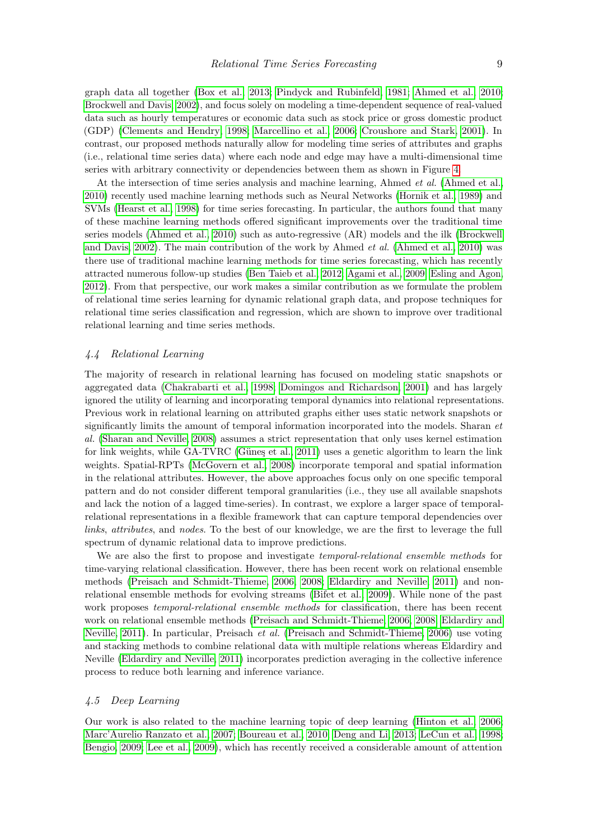graph data all together [\(Box et al., 2013;](#page-11-10) [Pindyck and Rubinfeld, 1981;](#page-13-15) [Ahmed et al., 2010;](#page-10-5) [Brockwell and Davis, 2002\)](#page-11-11), and focus solely on modeling a time-dependent sequence of real-valued data such as hourly temperatures or economic data such as stock price or gross domestic product (GDP) [\(Clements and Hendry, 1998;](#page-11-12) [Marcellino et al., 2006;](#page-12-9) [Croushore and Stark, 2001\)](#page-11-13). In contrast, our proposed methods naturally allow for modeling time series of attributes and graphs (i.e., relational time series data) where each node and edge may have a multi-dimensional time series with arbitrary connectivity or dependencies between them as shown in Figure [4.](#page-5-2)

At the intersection of time series analysis and machine learning, Ahmed *et al.* [\(Ahmed et al.,](#page-10-5) [2010\)](#page-10-5) recently used machine learning methods such as Neural Networks [\(Hornik et al., 1989\)](#page-12-22) and SVMs [\(Hearst et al., 1998\)](#page-11-22) for time series forecasting. In particular, the authors found that many of these machine learning methods offered significant improvements over the traditional time series models [\(Ahmed et al., 2010\)](#page-10-5) such as auto-regressive (AR) models and the ilk [\(Brockwell](#page-11-11) [and Davis, 2002\)](#page-11-11). The main contribution of the work by Ahmed *et al.* [\(Ahmed et al., 2010\)](#page-10-5) was there use of traditional machine learning methods for time series forecasting, which has recently attracted numerous follow-up studies [\(Ben Taieb et al., 2012;](#page-10-8) [Agami et al., 2009;](#page-10-9) [Esling and Agon,](#page-11-23) [2012\)](#page-11-23). From that perspective, our work makes a similar contribution as we formulate the problem of relational time series learning for dynamic relational graph data, and propose techniques for relational time series classification and regression, which are shown to improve over traditional relational learning and time series methods.

### 4.4 Relational Learning

The majority of research in relational learning has focused on modeling static snapshots or aggregated data [\(Chakrabarti et al., 1998;](#page-11-14) [Domingos and Richardson, 2001\)](#page-11-15) and has largely ignored the utility of learning and incorporating temporal dynamics into relational representations. Previous work in relational learning on attributed graphs either uses static network snapshots or significantly limits the amount of temporal information incorporated into the models. Sharan et al. [\(Sharan and Neville, 2008\)](#page-14-14) assumes a strict representation that only uses kernel estimation for link weights, while GA-TVRC (Güneş et al., 2011) uses a genetic algorithm to learn the link weights. Spatial-RPTs [\(McGovern et al., 2008\)](#page-13-22) incorporate temporal and spatial information in the relational attributes. However, the above approaches focus only on one specific temporal pattern and do not consider different temporal granularities (i.e., they use all available snapshots and lack the notion of a lagged time-series). In contrast, we explore a larger space of temporalrelational representations in a flexible framework that can capture temporal dependencies over links, attributes, and nodes. To the best of our knowledge, we are the first to leverage the full spectrum of dynamic relational data to improve predictions.

We are also the first to propose and investigate *temporal-relational ensemble methods* for time-varying relational classification. However, there has been recent work on relational ensemble methods [\(Preisach and Schmidt-Thieme, 2006,](#page-13-23) [2008;](#page-13-24) [Eldardiry and Neville, 2011\)](#page-11-25) and nonrelational ensemble methods for evolving streams [\(Bifet et al., 2009\)](#page-10-10). While none of the past work proposes *temporal-relational ensemble methods* for classification, there has been recent work on relational ensemble methods [\(Preisach and Schmidt-Thieme, 2006,](#page-13-23) [2008;](#page-13-24) [Eldardiry and](#page-11-25) [Neville, 2011\)](#page-11-25). In particular, Preisach et al. [\(Preisach and Schmidt-Thieme, 2006\)](#page-13-23) use voting and stacking methods to combine relational data with multiple relations whereas Eldardiry and Neville [\(Eldardiry and Neville, 2011\)](#page-11-25) incorporates prediction averaging in the collective inference process to reduce both learning and inference variance.

### 4.5 Deep Learning

Our work is also related to the machine learning topic of deep learning [\(Hinton et al., 2006;](#page-12-23) [Marc'Aurelio Ranzato et al., 2007;](#page-12-24) [Boureau et al., 2010;](#page-11-26) [Deng and Li, 2013;](#page-11-27) [LeCun et al., 1998;](#page-12-25) [Bengio, 2009;](#page-10-11) [Lee et al., 2009\)](#page-12-26), which has recently received a considerable amount of attention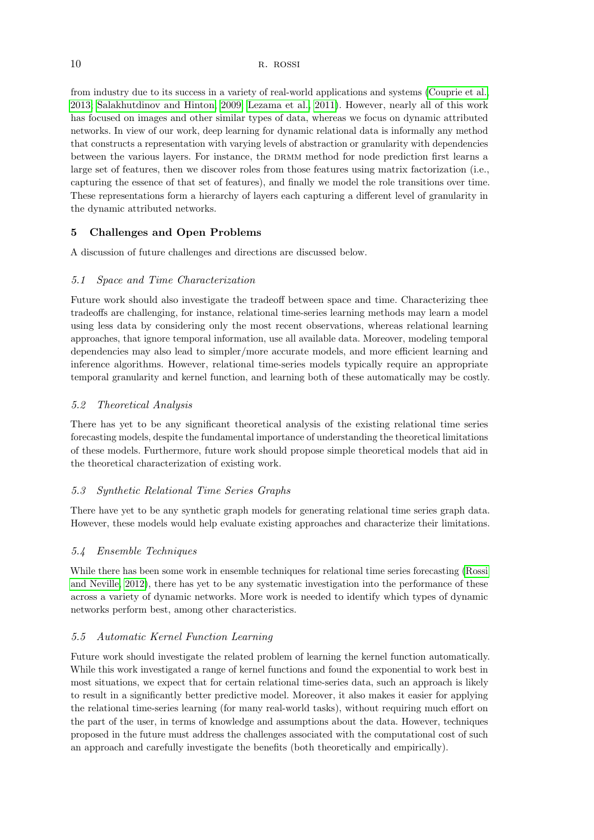from industry due to its success in a variety of real-world applications and systems [\(Couprie et al.,](#page-11-28) [2013;](#page-11-28) [Salakhutdinov and Hinton, 2009;](#page-14-15) [Lezama et al., 2011\)](#page-12-27). However, nearly all of this work has focused on images and other similar types of data, whereas we focus on dynamic attributed networks. In view of our work, deep learning for dynamic relational data is informally any method that constructs a representation with varying levels of abstraction or granularity with dependencies between the various layers. For instance, the DRMM method for node prediction first learns a large set of features, then we discover roles from those features using matrix factorization (i.e., capturing the essence of that set of features), and finally we model the role transitions over time. These representations form a hierarchy of layers each capturing a different level of granularity in the dynamic attributed networks.

# <span id="page-9-0"></span>5 Challenges and Open Problems

A discussion of future challenges and directions are discussed below.

# 5.1 Space and Time Characterization

Future work should also investigate the tradeoff between space and time. Characterizing thee tradeoffs are challenging, for instance, relational time-series learning methods may learn a model using less data by considering only the most recent observations, whereas relational learning approaches, that ignore temporal information, use all available data. Moreover, modeling temporal dependencies may also lead to simpler/more accurate models, and more efficient learning and inference algorithms. However, relational time-series models typically require an appropriate temporal granularity and kernel function, and learning both of these automatically may be costly.

# 5.2 Theoretical Analysis

There has yet to be any significant theoretical analysis of the existing relational time series forecasting models, despite the fundamental importance of understanding the theoretical limitations of these models. Furthermore, future work should propose simple theoretical models that aid in the theoretical characterization of existing work.

# 5.3 Synthetic Relational Time Series Graphs

There have yet to be any synthetic graph models for generating relational time series graph data. However, these models would help evaluate existing approaches and characterize their limitations.

# 5.4 Ensemble Techniques

While there has been some work in ensemble techniques for relational time series forecasting [\(Rossi](#page-14-16) [and Neville, 2012\)](#page-14-16), there has yet to be any systematic investigation into the performance of these across a variety of dynamic networks. More work is needed to identify which types of dynamic networks perform best, among other characteristics.

# 5.5 Automatic Kernel Function Learning

Future work should investigate the related problem of learning the kernel function automatically. While this work investigated a range of kernel functions and found the exponential to work best in most situations, we expect that for certain relational time-series data, such an approach is likely to result in a significantly better predictive model. Moreover, it also makes it easier for applying the relational time-series learning (for many real-world tasks), without requiring much effort on the part of the user, in terms of knowledge and assumptions about the data. However, techniques proposed in the future must address the challenges associated with the computational cost of such an approach and carefully investigate the benefits (both theoretically and empirically).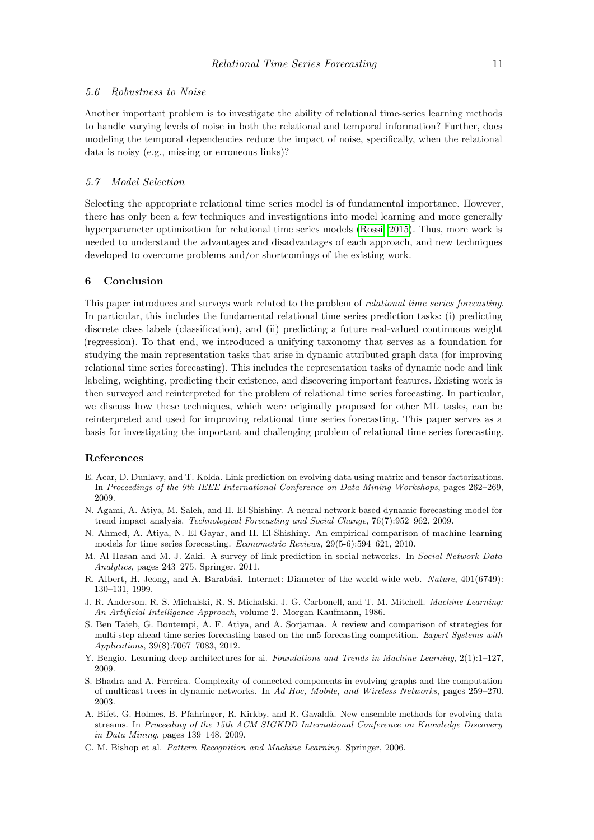### 5.6 Robustness to Noise

Another important problem is to investigate the ability of relational time-series learning methods to handle varying levels of noise in both the relational and temporal information? Further, does modeling the temporal dependencies reduce the impact of noise, specifically, when the relational data is noisy (e.g., missing or erroneous links)?

### 5.7 Model Selection

Selecting the appropriate relational time series model is of fundamental importance. However, there has only been a few techniques and investigations into model learning and more generally hyperparameter optimization for relational time series models [\(Rossi, 2015\)](#page-13-25). Thus, more work is needed to understand the advantages and disadvantages of each approach, and new techniques developed to overcome problems and/or shortcomings of the existing work.

### <span id="page-10-6"></span>6 Conclusion

This paper introduces and surveys work related to the problem of relational time series forecasting. In particular, this includes the fundamental relational time series prediction tasks: (i) predicting discrete class labels (classification), and (ii) predicting a future real-valued continuous weight (regression). To that end, we introduced a unifying taxonomy that serves as a foundation for studying the main representation tasks that arise in dynamic attributed graph data (for improving relational time series forecasting). This includes the representation tasks of dynamic node and link labeling, weighting, predicting their existence, and discovering important features. Existing work is then surveyed and reinterpreted for the problem of relational time series forecasting. In particular, we discuss how these techniques, which were originally proposed for other ML tasks, can be reinterpreted and used for improving relational time series forecasting. This paper serves as a basis for investigating the important and challenging problem of relational time series forecasting.

### References

- <span id="page-10-3"></span>E. Acar, D. Dunlavy, and T. Kolda. Link prediction on evolving data using matrix and tensor factorizations. In Proceedings of the 9th IEEE International Conference on Data Mining Workshops, pages 262–269, 2009.
- <span id="page-10-9"></span>N. Agami, A. Atiya, M. Saleh, and H. El-Shishiny. A neural network based dynamic forecasting model for trend impact analysis. Technological Forecasting and Social Change, 76(7):952–962, 2009.
- <span id="page-10-5"></span>N. Ahmed, A. Atiya, N. El Gayar, and H. El-Shishiny. An empirical comparison of machine learning models for time series forecasting. Econometric Reviews, 29(5-6):594–621, 2010.
- <span id="page-10-4"></span>M. Al Hasan and M. J. Zaki. A survey of link prediction in social networks. In Social Network Data Analytics, pages 243–275. Springer, 2011.
- <span id="page-10-0"></span>R. Albert, H. Jeong, and A. Barabási. Internet: Diameter of the world-wide web. Nature, 401(6749): 130–131, 1999.
- <span id="page-10-2"></span>J. R. Anderson, R. S. Michalski, R. S. Michalski, J. G. Carbonell, and T. M. Mitchell. Machine Learning: An Artificial Intelligence Approach, volume 2. Morgan Kaufmann, 1986.
- <span id="page-10-8"></span>S. Ben Taieb, G. Bontempi, A. F. Atiya, and A. Sorjamaa. A review and comparison of strategies for multi-step ahead time series forecasting based on the nn5 forecasting competition. Expert Systems with Applications, 39(8):7067–7083, 2012.
- <span id="page-10-11"></span>Y. Bengio. Learning deep architectures for ai. Foundations and Trends in Machine Learning, 2(1):1–127, 2009.
- <span id="page-10-7"></span>S. Bhadra and A. Ferreira. Complexity of connected components in evolving graphs and the computation of multicast trees in dynamic networks. In Ad-Hoc, Mobile, and Wireless Networks, pages 259–270. 2003.
- <span id="page-10-10"></span>A. Bifet, G. Holmes, B. Pfahringer, R. Kirkby, and R. Gavaldà. New ensemble methods for evolving data streams. In Proceeding of the 15th ACM SIGKDD International Conference on Knowledge Discovery in Data Mining, pages 139–148, 2009.
- <span id="page-10-1"></span>C. M. Bishop et al. Pattern Recognition and Machine Learning. Springer, 2006.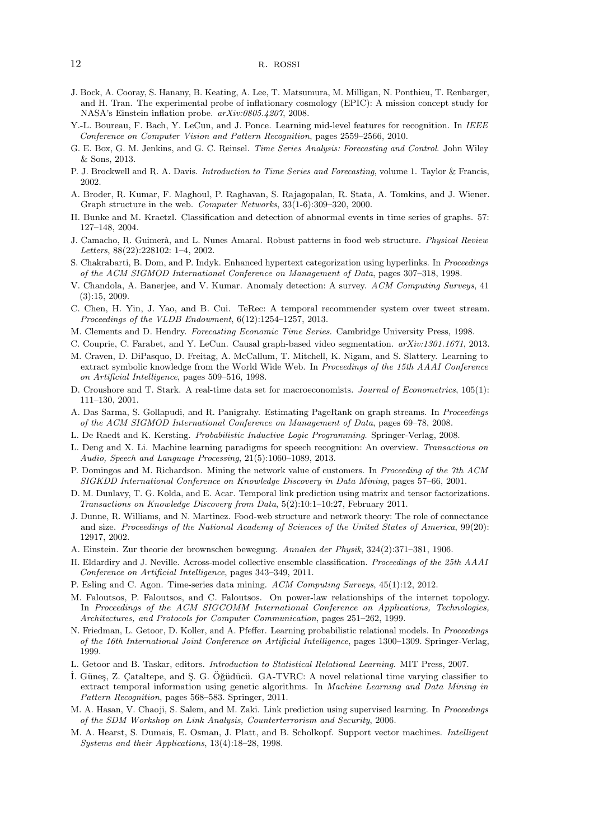- <span id="page-11-8"></span>J. Bock, A. Cooray, S. Hanany, B. Keating, A. Lee, T. Matsumura, M. Milligan, N. Ponthieu, T. Renbarger, and H. Tran. The experimental probe of inflationary cosmology (EPIC): A mission concept study for NASA's Einstein inflation probe. arXiv:0805.4207, 2008.
- <span id="page-11-26"></span>Y.-L. Boureau, F. Bach, Y. LeCun, and J. Ponce. Learning mid-level features for recognition. In IEEE Conference on Computer Vision and Pattern Recognition, pages 2559–2566, 2010.
- <span id="page-11-10"></span>G. E. Box, G. M. Jenkins, and G. C. Reinsel. Time Series Analysis: Forecasting and Control. John Wiley & Sons, 2013.
- <span id="page-11-11"></span>P. J. Brockwell and R. A. Davis. Introduction to Time Series and Forecasting, volume 1. Taylor & Francis, 2002.
- <span id="page-11-1"></span>A. Broder, R. Kumar, F. Maghoul, P. Raghavan, S. Rajagopalan, R. Stata, A. Tomkins, and J. Wiener. Graph structure in the web. Computer Networks, 33(1-6):309–320, 2000.
- <span id="page-11-17"></span>H. Bunke and M. Kraetzl. Classification and detection of abnormal events in time series of graphs. 57: 127–148, 2004.
- <span id="page-11-3"></span>J. Camacho, R. Guimerà, and L. Nunes Amaral. Robust patterns in food web structure. Physical Review Letters, 88(22):228102: 1–4, 2002.
- <span id="page-11-14"></span>S. Chakrabarti, B. Dom, and P. Indyk. Enhanced hypertext categorization using hyperlinks. In Proceedings of the ACM SIGMOD International Conference on Management of Data, pages 307–318, 1998.
- <span id="page-11-16"></span>V. Chandola, A. Banerjee, and V. Kumar. Anomaly detection: A survey. ACM Computing Surveys, 41 (3):15, 2009.
- <span id="page-11-20"></span>C. Chen, H. Yin, J. Yao, and B. Cui. TeRec: A temporal recommender system over tweet stream. Proceedings of the VLDB Endowment, 6(12):1254–1257, 2013.
- <span id="page-11-12"></span>M. Clements and D. Hendry. Forecasting Economic Time Series. Cambridge University Press, 1998.
- <span id="page-11-28"></span>C. Couprie, C. Farabet, and Y. LeCun. Causal graph-based video segmentation. arXiv:1301.1671, 2013.
- <span id="page-11-19"></span>M. Craven, D. DiPasquo, D. Freitag, A. McCallum, T. Mitchell, K. Nigam, and S. Slattery. Learning to extract symbolic knowledge from the World Wide Web. In Proceedings of the 15th AAAI Conference on Artificial Intelligence, pages 509–516, 1998.
- <span id="page-11-13"></span>D. Croushore and T. Stark. A real-time data set for macroeconomists. Journal of Econometrics, 105(1): 111–130, 2001.
- <span id="page-11-18"></span>A. Das Sarma, S. Gollapudi, and R. Panigrahy. Estimating PageRank on graph streams. In Proceedings of the ACM SIGMOD International Conference on Management of Data, pages 69–78, 2008.
- <span id="page-11-6"></span>L. De Raedt and K. Kersting. Probabilistic Inductive Logic Programming. Springer-Verlag, 2008.
- <span id="page-11-27"></span>L. Deng and X. Li. Machine learning paradigms for speech recognition: An overview. Transactions on Audio, Speech and Language Processing, 21(5):1060–1089, 2013.
- <span id="page-11-15"></span>P. Domingos and M. Richardson. Mining the network value of customers. In Proceeding of the 7th ACM SIGKDD International Conference on Knowledge Discovery in Data Mining, pages 57–66, 2001.
- <span id="page-11-21"></span>D. M. Dunlavy, T. G. Kolda, and E. Acar. Temporal link prediction using matrix and tensor factorizations. Transactions on Knowledge Discovery from Data, 5(2):10:1–10:27, February 2011.
- <span id="page-11-2"></span>J. Dunne, R. Williams, and N. Martinez. Food-web structure and network theory: The role of connectance and size. Proceedings of the National Academy of Sciences of the United States of America, 99(20): 12917, 2002.
- <span id="page-11-7"></span>A. Einstein. Zur theorie der brownschen bewegung. Annalen der Physik, 324(2):371–381, 1906.
- <span id="page-11-25"></span>H. Eldardiry and J. Neville. Across-model collective ensemble classification. Proceedings of the 25th AAAI Conference on Artificial Intelligence, pages 343–349, 2011.
- <span id="page-11-23"></span>P. Esling and C. Agon. Time-series data mining. ACM Computing Surveys, 45(1):12, 2012.
- <span id="page-11-0"></span>M. Faloutsos, P. Faloutsos, and C. Faloutsos. On power-law relationships of the internet topology. In Proceedings of the ACM SIGCOMM International Conference on Applications, Technologies, Architectures, and Protocols for Computer Communication, pages 251–262, 1999.
- <span id="page-11-5"></span>N. Friedman, L. Getoor, D. Koller, and A. Pfeffer. Learning probabilistic relational models. In Proceedings of the 16th International Joint Conference on Artificial Intelligence, pages 1300–1309. Springer-Verlag, 1999.
- <span id="page-11-4"></span>L. Getoor and B. Taskar, editors. Introduction to Statistical Relational Learning. MIT Press, 2007.
- <span id="page-11-24"></span>I. Güneş, Z. Cataltepe, and S. G. Öğüdücü. GA-TVRC: A novel relational time varying classifier to extract temporal information using genetic algorithms. In Machine Learning and Data Mining in Pattern Recognition, pages 568–583. Springer, 2011.
- <span id="page-11-9"></span>M. A. Hasan, V. Chaoji, S. Salem, and M. Zaki. Link prediction using supervised learning. In Proceedings of the SDM Workshop on Link Analysis, Counterterrorism and Security, 2006.
- <span id="page-11-22"></span>M. A. Hearst, S. Dumais, E. Osman, J. Platt, and B. Scholkopf. Support vector machines. Intelligent Systems and their Applications, 13(4):18–28, 1998.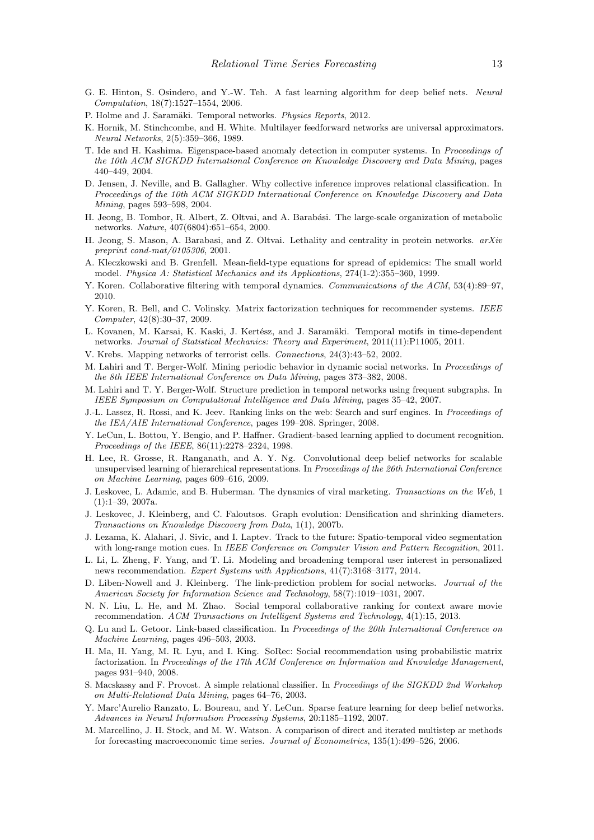- <span id="page-12-23"></span>G. E. Hinton, S. Osindero, and Y.-W. Teh. A fast learning algorithm for deep belief nets. Neural Computation, 18(7):1527–1554, 2006.
- <span id="page-12-10"></span>P. Holme and J. Saramäki. Temporal networks. Physics Reports, 2012.
- <span id="page-12-22"></span>K. Hornik, M. Stinchcombe, and H. White. Multilayer feedforward networks are universal approximators. Neural Networks, 2(5):359–366, 1989.
- <span id="page-12-11"></span>T. Ide and H. Kashima. Eigenspace-based anomaly detection in computer systems. In Proceedings of the 10th ACM SIGKDD International Conference on Knowledge Discovery and Data Mining, pages 440–449, 2004.
- <span id="page-12-4"></span>D. Jensen, J. Neville, and B. Gallagher. Why collective inference improves relational classification. In Proceedings of the 10th ACM SIGKDD International Conference on Knowledge Discovery and Data Mining, pages 593–598, 2004.
- <span id="page-12-1"></span>H. Jeong, B. Tombor, R. Albert, Z. Oltvai, and A. Barabási. The large-scale organization of metabolic networks. Nature, 407(6804):651–654, 2000.
- <span id="page-12-2"></span>H. Jeong, S. Mason, A. Barabasi, and Z. Oltvai. Lethality and centrality in protein networks. arXiv preprint cond-mat/0105306, 2001.
- <span id="page-12-0"></span>A. Kleczkowski and B. Grenfell. Mean-field-type equations for spread of epidemics: The small world model. Physica A: Statistical Mechanics and its Applications, 274(1-2):355–360, 1999.
- <span id="page-12-13"></span>Y. Koren. Collaborative filtering with temporal dynamics. Communications of the ACM, 53(4):89–97, 2010.
- <span id="page-12-7"></span>Y. Koren, R. Bell, and C. Volinsky. Matrix factorization techniques for recommender systems. IEEE Computer, 42(8):30–37, 2009.
- <span id="page-12-18"></span>L. Kovanen, M. Karsai, K. Kaski, J. Kertész, and J. Saramäki. Temporal motifs in time-dependent networks. Journal of Statistical Mechanics: Theory and Experiment, 2011(11):P11005, 2011.
- <span id="page-12-3"></span>V. Krebs. Mapping networks of terrorist cells. Connections, 24(3):43–52, 2002.
- <span id="page-12-20"></span>M. Lahiri and T. Berger-Wolf. Mining periodic behavior in dynamic social networks. In *Proceedings of* the 8th IEEE International Conference on Data Mining, pages 373–382, 2008.
- <span id="page-12-17"></span>M. Lahiri and T. Y. Berger-Wolf. Structure prediction in temporal networks using frequent subgraphs. In IEEE Symposium on Computational Intelligence and Data Mining, pages 35–42, 2007.
- <span id="page-12-8"></span>J.-L. Lassez, R. Rossi, and K. Jeev. Ranking links on the web: Search and surf engines. In Proceedings of the IEA/AIE International Conference, pages 199–208. Springer, 2008.
- <span id="page-12-25"></span>Y. LeCun, L. Bottou, Y. Bengio, and P. Haffner. Gradient-based learning applied to document recognition. Proceedings of the IEEE, 86(11):2278–2324, 1998.
- <span id="page-12-26"></span>H. Lee, R. Grosse, R. Ranganath, and A. Y. Ng. Convolutional deep belief networks for scalable unsupervised learning of hierarchical representations. In Proceedings of the 26th International Conference on Machine Learning, pages 609–616, 2009.
- <span id="page-12-19"></span>J. Leskovec, L. Adamic, and B. Huberman. The dynamics of viral marketing. Transactions on the Web, 1  $(1):1-39, 2007a.$
- <span id="page-12-21"></span>J. Leskovec, J. Kleinberg, and C. Faloutsos. Graph evolution: Densification and shrinking diameters. Transactions on Knowledge Discovery from Data, 1(1), 2007b.
- <span id="page-12-27"></span>J. Lezama, K. Alahari, J. Sivic, and I. Laptev. Track to the future: Spatio-temporal video segmentation with long-range motion cues. In IEEE Conference on Computer Vision and Pattern Recognition, 2011.
- <span id="page-12-15"></span>L. Li, L. Zheng, F. Yang, and T. Li. Modeling and broadening temporal user interest in personalized news recommendation. Expert Systems with Applications, 41(7):3168–3177, 2014.
- <span id="page-12-6"></span>D. Liben-Nowell and J. Kleinberg. The link-prediction problem for social networks. Journal of the American Society for Information Science and Technology, 58(7):1019–1031, 2007.
- <span id="page-12-16"></span>N. N. Liu, L. He, and M. Zhao. Social temporal collaborative ranking for context aware movie recommendation. ACM Transactions on Intelligent Systems and Technology, 4(1):15, 2013.
- <span id="page-12-12"></span>Q. Lu and L. Getoor. Link-based classification. In Proceedings of the 20th International Conference on Machine Learning, pages 496–503, 2003.
- <span id="page-12-14"></span>H. Ma, H. Yang, M. R. Lyu, and I. King. SoRec: Social recommendation using probabilistic matrix factorization. In Proceedings of the 17th ACM Conference on Information and Knowledge Management, pages 931–940, 2008.
- <span id="page-12-5"></span>S. Macskassy and F. Provost. A simple relational classifier. In Proceedings of the SIGKDD 2nd Workshop on Multi-Relational Data Mining, pages 64–76, 2003.
- <span id="page-12-24"></span>Y. Marc'Aurelio Ranzato, L. Boureau, and Y. LeCun. Sparse feature learning for deep belief networks. Advances in Neural Information Processing Systems, 20:1185–1192, 2007.
- <span id="page-12-9"></span>M. Marcellino, J. H. Stock, and M. W. Watson. A comparison of direct and iterated multistep ar methods for forecasting macroeconomic time series. Journal of Econometrics, 135(1):499–526, 2006.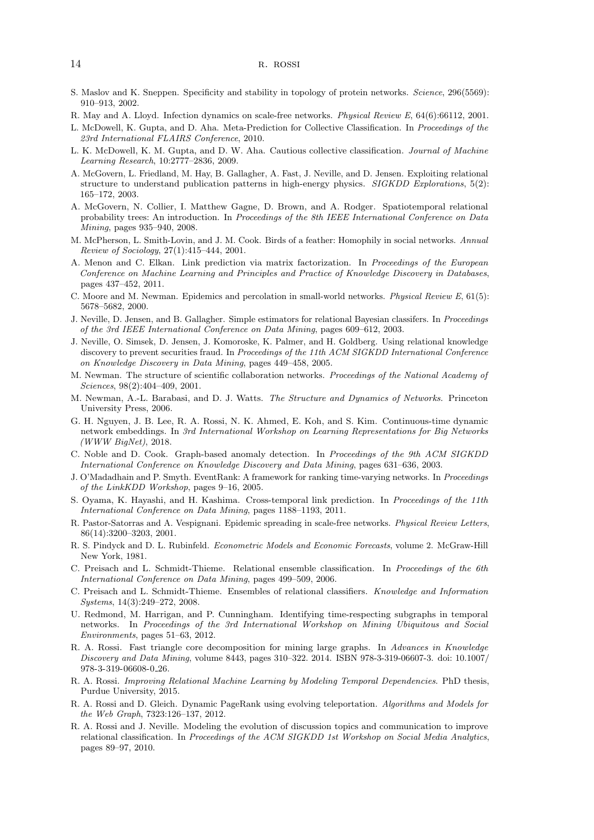- <span id="page-13-6"></span>S. Maslov and K. Sneppen. Specificity and stability in topology of protein networks. Science, 296(5569): 910–913, 2002.
- <span id="page-13-4"></span>R. May and A. Lloyd. Infection dynamics on scale-free networks. Physical Review E, 64(6):66112, 2001.
- <span id="page-13-9"></span>L. McDowell, K. Gupta, and D. Aha. Meta-Prediction for Collective Classification. In Proceedings of the 23rd International FLAIRS Conference, 2010.
- <span id="page-13-11"></span>L. K. McDowell, K. M. Gupta, and D. W. Aha. Cautious collective classification. Journal of Machine Learning Research, 10:2777–2836, 2009.
- <span id="page-13-0"></span>A. McGovern, L. Friedland, M. Hay, B. Gallagher, A. Fast, J. Neville, and D. Jensen. Exploiting relational structure to understand publication patterns in high-energy physics. SIGKDD Explorations, 5(2): 165–172, 2003.
- <span id="page-13-22"></span>A. McGovern, N. Collier, I. Matthew Gagne, D. Brown, and A. Rodger. Spatiotemporal relational probability trees: An introduction. In Proceedings of the 8th IEEE International Conference on Data Mining, pages 935–940, 2008.
- <span id="page-13-8"></span>M. McPherson, L. Smith-Lovin, and J. M. Cook. Birds of a feather: Homophily in social networks. Annual Review of Sociology, 27(1):415–444, 2001.
- <span id="page-13-14"></span>A. Menon and C. Elkan. Link prediction via matrix factorization. In Proceedings of the European Conference on Machine Learning and Principles and Practice of Knowledge Discovery in Databases, pages 437–452, 2011.
- <span id="page-13-3"></span>C. Moore and M. Newman. Epidemics and percolation in small-world networks. Physical Review E, 61(5): 5678–5682, 2000.
- <span id="page-13-10"></span>J. Neville, D. Jensen, and B. Gallagher. Simple estimators for relational Bayesian classifers. In Proceedings of the 3rd IEEE International Conference on Data Mining, pages 609–612, 2003.
- <span id="page-13-7"></span>J. Neville, O. Simsek, D. Jensen, J. Komoroske, K. Palmer, and H. Goldberg. Using relational knowledge discovery to prevent securities fraud. In Proceedings of the 11th ACM SIGKDD International Conference on Knowledge Discovery in Data Mining, pages 449–458, 2005.
- <span id="page-13-1"></span>M. Newman. The structure of scientific collaboration networks. Proceedings of the National Academy of Sciences, 98(2):404–409, 2001.
- <span id="page-13-12"></span>M. Newman, A.-L. Barabasi, and D. J. Watts. The Structure and Dynamics of Networks. Princeton University Press, 2006.
- <span id="page-13-20"></span>G. H. Nguyen, J. B. Lee, R. A. Rossi, N. K. Ahmed, E. Koh, and S. Kim. Continuous-time dynamic network embeddings. In 3rd International Workshop on Learning Representations for Big Networks  $(WWWBig$  BigNet), 2018.
- <span id="page-13-16"></span>C. Noble and D. Cook. Graph-based anomaly detection. In Proceedings of the 9th ACM SIGKDD International Conference on Knowledge Discovery and Data Mining, pages 631–636, 2003.
- <span id="page-13-17"></span>J. O'Madadhain and P. Smyth. EventRank: A framework for ranking time-varying networks. In Proceedings of the LinkKDD Workshop, pages 9–16, 2005.
- <span id="page-13-13"></span>S. Oyama, K. Hayashi, and H. Kashima. Cross-temporal link prediction. In Proceedings of the 11th International Conference on Data Mining, pages 1188–1193, 2011.
- <span id="page-13-2"></span>R. Pastor-Satorras and A. Vespignani. Epidemic spreading in scale-free networks. Physical Review Letters, 86(14):3200–3203, 2001.
- <span id="page-13-15"></span>R. S. Pindyck and D. L. Rubinfeld. Econometric Models and Economic Forecasts, volume 2. McGraw-Hill New York, 1981.
- <span id="page-13-23"></span>C. Preisach and L. Schmidt-Thieme. Relational ensemble classification. In *Proceedings of the 6th* International Conference on Data Mining, pages 499–509, 2006.
- <span id="page-13-24"></span>C. Preisach and L. Schmidt-Thieme. Ensembles of relational classifiers. Knowledge and Information Systems, 14(3):249–272, 2008.
- <span id="page-13-21"></span>U. Redmond, M. Harrigan, and P. Cunningham. Identifying time-respecting subgraphs in temporal networks. In Proceedings of the 3rd International Workshop on Mining Ubiquitous and Social Environments, pages 51–63, 2012.
- <span id="page-13-19"></span>R. A. Rossi. Fast triangle core decomposition for mining large graphs. In Advances in Knowledge Discovery and Data Mining, volume 8443, pages 310–322. 2014. ISBN 978-3-319-06607-3. doi: 10.1007/ 978-3-319-06608-0 26.
- <span id="page-13-25"></span>R. A. Rossi. Improving Relational Machine Learning by Modeling Temporal Dependencies. PhD thesis, Purdue University, 2015.
- <span id="page-13-18"></span>R. A. Rossi and D. Gleich. Dynamic PageRank using evolving teleportation. Algorithms and Models for the Web Graph, 7323:126–137, 2012.
- <span id="page-13-5"></span>R. A. Rossi and J. Neville. Modeling the evolution of discussion topics and communication to improve relational classification. In Proceedings of the ACM SIGKDD 1st Workshop on Social Media Analytics, pages 89–97, 2010.